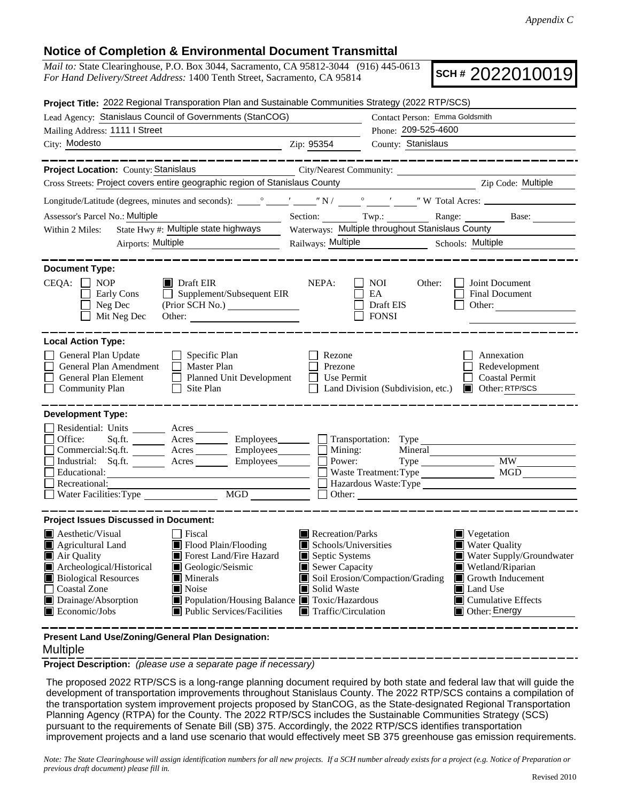## **Notice of Completion & Environmental Document Transmittal**

*Mail to:* State Clearinghouse, P.O. Box 3044, Sacramento, CA 95812-3044 (916) 445-0613 *For Hand Delivery/Street Address:* 1400 Tenth Street, Sacramento, CA 95814

**SCH #** 2022010019

| Project Title: 2022 Regional Transporation Plan and Sustainable Communities Strategy (2022 RTP/SCS)                                                                                          |                                                                                                                                                                |  |  |  |  |
|----------------------------------------------------------------------------------------------------------------------------------------------------------------------------------------------|----------------------------------------------------------------------------------------------------------------------------------------------------------------|--|--|--|--|
| Lead Agency: Stanislaus Council of Governments (StanCOG)                                                                                                                                     | Contact Person: Emma Goldsmith                                                                                                                                 |  |  |  |  |
| Mailing Address: 1111   Street                                                                                                                                                               | Phone: 209-525-4600                                                                                                                                            |  |  |  |  |
| City: Modesto<br><u> 1989 - Johann Barn, mars eta bainar eta baina eta baina eta baina eta baina eta baina eta baina eta baina e</u> ta                                                      | County: Stanislaus<br>Zip: 95354                                                                                                                               |  |  |  |  |
|                                                                                                                                                                                              | ___________________                                                                                                                                            |  |  |  |  |
| Project Location: County: Stanislaus                                                                                                                                                         | City/Nearest Community:                                                                                                                                        |  |  |  |  |
| Cross Streets: Project covers entire geographic region of Stanislaus County<br>Zip Code: Multiple                                                                                            |                                                                                                                                                                |  |  |  |  |
|                                                                                                                                                                                              |                                                                                                                                                                |  |  |  |  |
| Assessor's Parcel No.: Multiple                                                                                                                                                              | Section: Twp.: Twp.: Range: Base:                                                                                                                              |  |  |  |  |
| State Hwy #: Multiple state highways<br>Within 2 Miles:                                                                                                                                      | Waterways: Multiple throughout Stanislaus County                                                                                                               |  |  |  |  |
| Airports: Multiple                                                                                                                                                                           | Railways: Multiple Schools: Multiple                                                                                                                           |  |  |  |  |
| <b>Document Type:</b><br>$CEQA: \Box NOP$<br>$\blacksquare$ Draft EIR                                                                                                                        | NEPA:<br>Joint Document<br>NOI<br>Other:                                                                                                                       |  |  |  |  |
| $\Box$ Supplement/Subsequent EIR<br>Early Cons<br>Neg Dec<br>(Prior SCH No.)<br>Mit Neg Dec                                                                                                  | EA<br>Final Document<br>Draft EIS<br>Other:<br><b>FONSI</b>                                                                                                    |  |  |  |  |
| <b>Local Action Type:</b>                                                                                                                                                                    |                                                                                                                                                                |  |  |  |  |
| General Plan Update<br>$\Box$ Specific Plan<br>General Plan Amendment<br>$\Box$ Master Plan<br>General Plan Element<br>Planned Unit Development<br><b>Community Plan</b><br>$\Box$ Site Plan | Rezone<br>Annexation<br>Prezone<br>Redevelopment<br>Use Permit<br><b>Coastal Permit</b><br>$\mathsf{L}$<br>Land Division (Subdivision, etc.)<br>Other: RTP/SCS |  |  |  |  |
| <b>Development Type:</b>                                                                                                                                                                     |                                                                                                                                                                |  |  |  |  |
| Residential: Units ________ Acres _______                                                                                                                                                    |                                                                                                                                                                |  |  |  |  |
| Office:                                                                                                                                                                                      | $Sq.fit.$ Acres $\qquad \qquad$ Employees $\qquad \qquad$ Transportation: Type                                                                                 |  |  |  |  |
| Commercial:Sq.ft. ________ Acres _________ Employees ________ __ Mining:<br>Industrial: Sq.ft. _______ Acres ________ Employees _______ $\Box$                                               | Mineral<br><b>MW</b><br>Power:                                                                                                                                 |  |  |  |  |
| Educational:                                                                                                                                                                                 | MGD<br>Waste Treatment: Type                                                                                                                                   |  |  |  |  |
| Recreational:                                                                                                                                                                                | Hazardous Waste:Type                                                                                                                                           |  |  |  |  |
| Water Facilities: Type<br>MGD                                                                                                                                                                | $\Box$ Other: $\Box$                                                                                                                                           |  |  |  |  |
| <b>Project Issues Discussed in Document:</b>                                                                                                                                                 |                                                                                                                                                                |  |  |  |  |
| $\blacksquare$ Aesthetic/Visual<br>$\Box$ Fiscal                                                                                                                                             | Recreation/Parks<br>Vegetation                                                                                                                                 |  |  |  |  |
| Agricultural Land<br>Flood Plain/Flooding                                                                                                                                                    | <b>Water Quality</b><br>Schools/Universities                                                                                                                   |  |  |  |  |
| Air Quality<br>Forest Land/Fire Hazard                                                                                                                                                       | Septic Systems<br>Water Supply/Groundwater                                                                                                                     |  |  |  |  |
| Archeological/Historical<br>Geologic/Seismic                                                                                                                                                 | $\blacksquare$ Sewer Capacity<br>$\blacksquare$ Wetland/Riparian                                                                                               |  |  |  |  |
| <b>Biological Resources</b><br>Minerals<br><b>Coastal Zone</b><br>Noise                                                                                                                      | Soil Erosion/Compaction/Grading<br>Growth Inducement<br>Solid Waste<br>$\blacksquare$ Land Use<br>Ш                                                            |  |  |  |  |
| Drainage/Absorption<br>Population/Housing Balance Toxic/Hazardous                                                                                                                            | $\blacksquare$ Cumulative Effects                                                                                                                              |  |  |  |  |
| Public Services/Facilities<br>Economic/Jobs                                                                                                                                                  | Traffic/Circulation<br>$\Box$ Other: Energy                                                                                                                    |  |  |  |  |
|                                                                                                                                                                                              |                                                                                                                                                                |  |  |  |  |

**Present Land Use/Zoning/General Plan Designation:**

## Multiple

**Project Description:** *(please use a separate page if necessary)*

 The proposed 2022 RTP/SCS is a long-range planning document required by both state and federal law that will guide the development of transportation improvements throughout Stanislaus County. The 2022 RTP/SCS contains a compilation of the transportation system improvement projects proposed by StanCOG, as the State-designated Regional Transportation Planning Agency (RTPA) for the County. The 2022 RTP/SCS includes the Sustainable Communities Strategy (SCS) pursuant to the requirements of Senate Bill (SB) 375. Accordingly, the 2022 RTP/SCS identifies transportation improvement projects and a land use scenario that would effectively meet SB 375 greenhouse gas emission requirements.

*Note: The State Clearinghouse will assign identification numbers for all new projects. If a SCH number already exists for a project (e.g. Notice of Preparation or previous draft document) please fill in.*